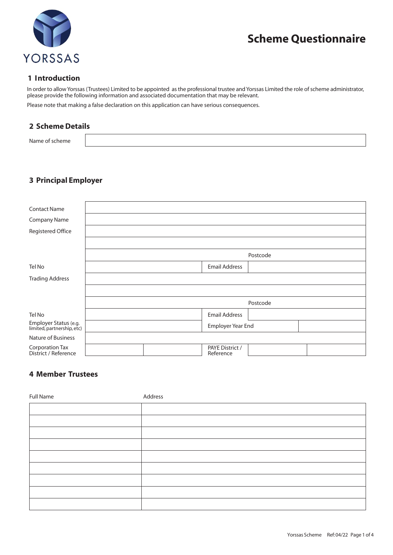

# **Scheme Questionnaire**

### **1 Introduction**

In order to allow Yorssas (Trustees) Limited to be appointed as the professional trustee and Yorssas Limited the role of scheme administrator, please provide the following information and associated documentation that may be relevant. Please note that making a false declaration on this application can have serious consequences.

# **2 Scheme Details**

| . |  |
|---|--|
|   |  |

# **3 Principal Employer**

| <b>Contact Name</b>                                 |          |                      |                              |  |  |
|-----------------------------------------------------|----------|----------------------|------------------------------|--|--|
| Company Name                                        |          |                      |                              |  |  |
| Registered Office                                   |          |                      |                              |  |  |
|                                                     |          |                      |                              |  |  |
|                                                     | Postcode |                      |                              |  |  |
| Tel No                                              |          | <b>Email Address</b> |                              |  |  |
| <b>Trading Address</b>                              |          |                      |                              |  |  |
|                                                     |          |                      |                              |  |  |
|                                                     | Postcode |                      |                              |  |  |
| Tel No                                              |          |                      | <b>Email Address</b>         |  |  |
| Employer Status (e.g.<br>limited, partnership, etc) |          |                      | Employer Year End            |  |  |
| Nature of Business                                  |          |                      |                              |  |  |
| Corporation Tax<br>District / Reference             |          |                      | PAYE District /<br>Reference |  |  |

# **4 Member Trustees**

| <b>Full Name</b> | Address |
|------------------|---------|
|                  |         |
|                  |         |
|                  |         |
|                  |         |
|                  |         |
|                  |         |
|                  |         |
|                  |         |
|                  |         |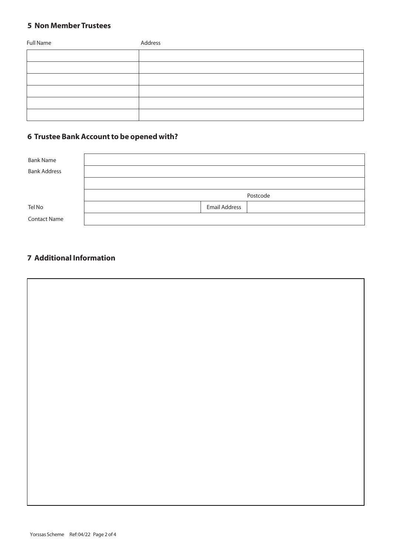## **5 Non Member Trustees**

| <b>Full Name</b> | Address |
|------------------|---------|
|                  |         |
|                  |         |
|                  |         |
|                  |         |
|                  |         |
|                  |         |

# **6 Trustee Bank Account to be opened with?**

| <b>Bank Name</b>    |                      |
|---------------------|----------------------|
| <b>Bank Address</b> |                      |
|                     |                      |
|                     | Postcode             |
| Tel No              | <b>Email Address</b> |
| <b>Contact Name</b> |                      |

# **7 Additional Information**

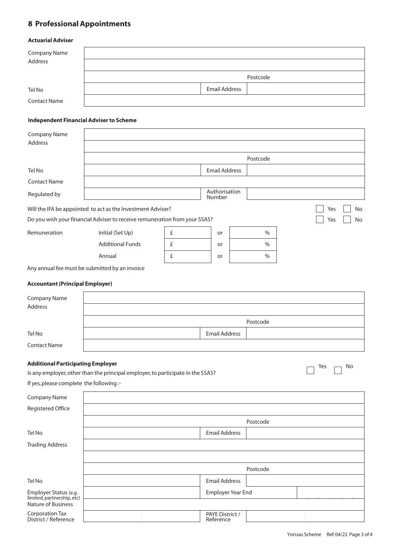# **8 Professional Appointments**

#### **Actuarial Adviser**

| Company Name<br>Address |                      |          |
|-------------------------|----------------------|----------|
|                         |                      | Postcode |
| Tel No                  | <b>Email Address</b> |          |
| <b>Contact Name</b>     |                      |          |

#### **Independent Financial Adviser to Scheme**

| <b>Company Name</b><br>Address                                                  |                                                                            |   |                         |               |                  |
|---------------------------------------------------------------------------------|----------------------------------------------------------------------------|---|-------------------------|---------------|------------------|
|                                                                                 |                                                                            |   |                         | Postcode      |                  |
| Tel No                                                                          |                                                                            |   | <b>Email Address</b>    |               |                  |
| <b>Contact Name</b>                                                             |                                                                            |   |                         |               |                  |
| Regulated by                                                                    |                                                                            |   | Authorisation<br>Number |               |                  |
|                                                                                 | Will the IFA be appointed to act as the Investment Adviser?                |   |                         |               | Yes<br><b>No</b> |
|                                                                                 | Do you wish your financial Adviser to receive remuneration from your SSAS? |   |                         |               | No<br>Yes        |
| Remuneration                                                                    | Initial (Set Up)                                                           | £ | or                      | $\frac{0}{0}$ |                  |
|                                                                                 | <b>Additional Funds</b>                                                    | £ | or                      | $\%$          |                  |
|                                                                                 | Annual                                                                     | £ | or                      | $\%$          |                  |
|                                                                                 | Any annual fee must be submitted by an invoice                             |   |                         |               |                  |
| <b>Accountant (Principal Employer)</b>                                          |                                                                            |   |                         |               |                  |
| Company Name                                                                    |                                                                            |   |                         |               |                  |
| <b>Address</b>                                                                  |                                                                            |   |                         |               |                  |
|                                                                                 |                                                                            |   |                         | Postcode      |                  |
| Tel No                                                                          |                                                                            |   | <b>Email Address</b>    |               |                  |
| <b>Contact Name</b>                                                             |                                                                            |   |                         |               |                  |
| <b>Additional Participating Employer</b>                                        |                                                                            |   |                         |               | No<br>Yes        |
| Is any employer, other than the principal employer, to participate in the SSAS? |                                                                            |   |                         |               |                  |
| If yes, please complete the following :-                                        |                                                                            |   |                         |               |                  |
| <b>Company Name</b>                                                             |                                                                            |   |                         |               |                  |
| Registered Office                                                               |                                                                            |   |                         |               |                  |
|                                                                                 | Postcode                                                                   |   |                         |               |                  |
| Tel No                                                                          |                                                                            |   | <b>Email Address</b>    |               |                  |
| <b>Trading Address</b>                                                          |                                                                            |   |                         |               |                  |

|                                                                                  | Postcode |                              |  |  |  |
|----------------------------------------------------------------------------------|----------|------------------------------|--|--|--|
| Tel No                                                                           |          | <b>Email Address</b>         |  |  |  |
| Employer Status (e.g.<br>limited, partnership, etc)<br><b>Nature of Business</b> |          | Employer Year End            |  |  |  |
|                                                                                  |          |                              |  |  |  |
| Corporation Tax<br>District / Reference                                          |          | PAYE District /<br>Reference |  |  |  |